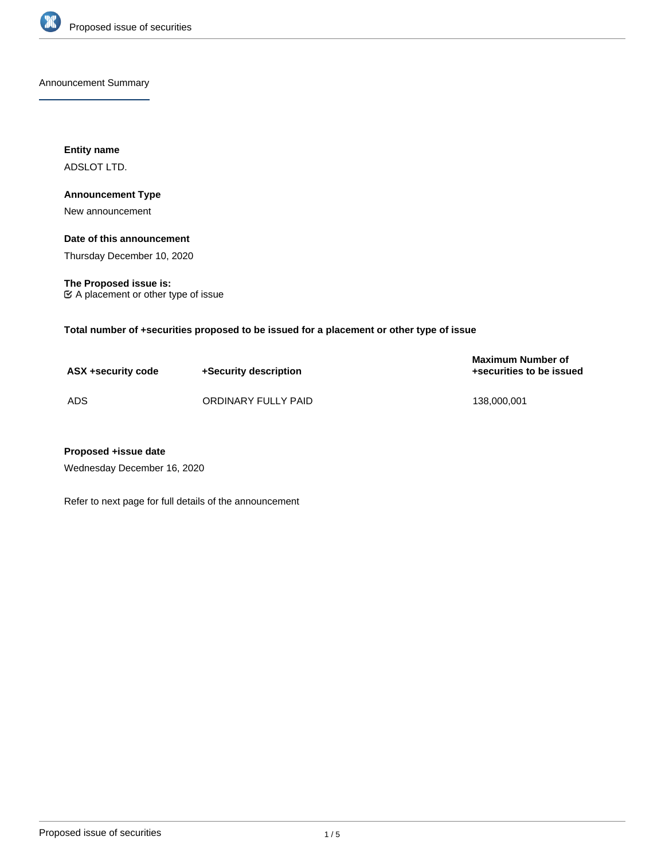

Announcement Summary

**Entity name** ADSLOT LTD.

# **Announcement Type**

New announcement

## **Date of this announcement**

Thursday December 10, 2020

**The Proposed issue is:** A placement or other type of issue

**Total number of +securities proposed to be issued for a placement or other type of issue**

| ASX +security code | +Security description | <b>Maximum Number of</b><br>+securities to be issued |
|--------------------|-----------------------|------------------------------------------------------|
| ADS                | ORDINARY FULLY PAID   | 138.000.001                                          |

# **Proposed +issue date**

Wednesday December 16, 2020

Refer to next page for full details of the announcement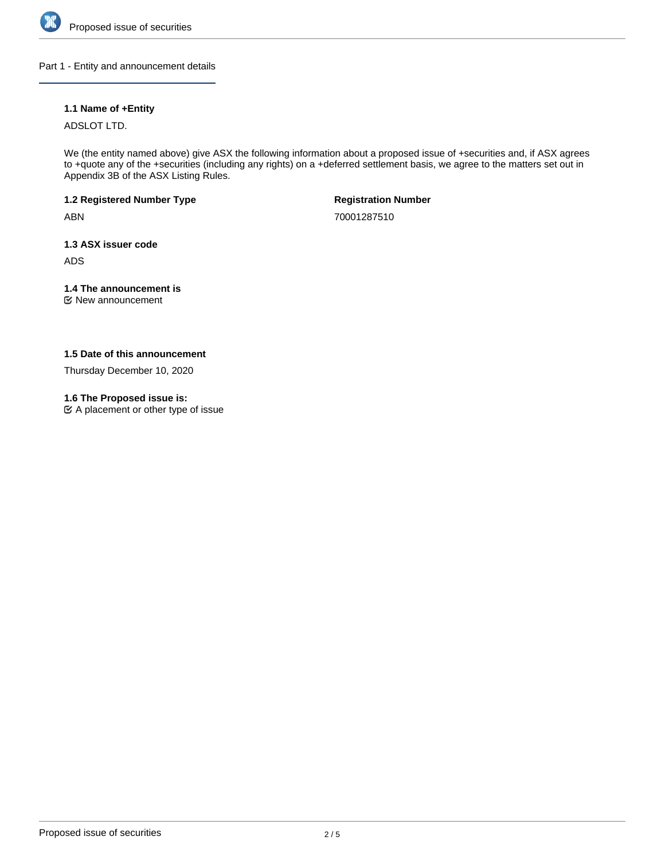

#### Part 1 - Entity and announcement details

# **1.1 Name of +Entity**

ADSLOT LTD.

We (the entity named above) give ASX the following information about a proposed issue of +securities and, if ASX agrees to +quote any of the +securities (including any rights) on a +deferred settlement basis, we agree to the matters set out in Appendix 3B of the ASX Listing Rules.

**1.2 Registered Number Type**

ABN

**Registration Number**

70001287510

**1.3 ASX issuer code**

ADS

# **1.4 The announcement is**

New announcement

# **1.5 Date of this announcement**

Thursday December 10, 2020

# **1.6 The Proposed issue is:**

A placement or other type of issue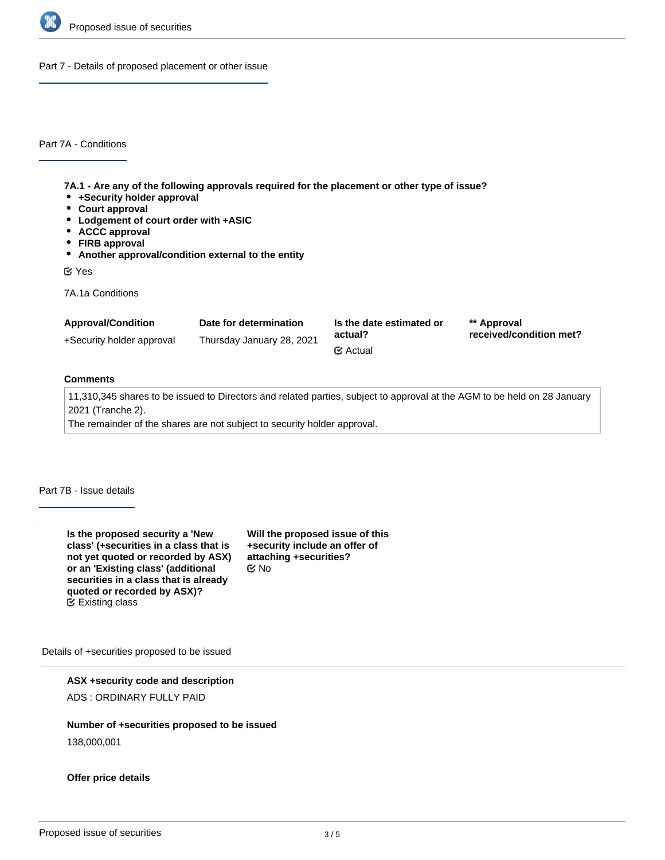

Part 7 - Details of proposed placement or other issue

Part 7A - Conditions

**7A.1 - Are any of the following approvals required for the placement or other type of issue?**

- **+Security holder approval**
- **Court approval**
- **Lodgement of court order with +ASIC**
- **ACCC approval**
- **FIRB approval**
- **Another approval/condition external to the entity**

Yes

7A.1a Conditions

| <b>Approval/Condition</b> | Date for determination    | Is the date estimated or<br>actual?<br>$\mathfrak{C}$ Actual | ** Approval<br>received/condition met? |
|---------------------------|---------------------------|--------------------------------------------------------------|----------------------------------------|
| +Security holder approval | Thursday January 28, 2021 |                                                              |                                        |

# **Comments**

11,310,345 shares to be issued to Directors and related parties, subject to approval at the AGM to be held on 28 January 2021 (Tranche 2).

The remainder of the shares are not subject to security holder approval.

Part 7B - Issue details

**Is the proposed security a 'New class' (+securities in a class that is not yet quoted or recorded by ASX) or an 'Existing class' (additional securities in a class that is already quoted or recorded by ASX)?**  $E$  Existing class

**Will the proposed issue of this +security include an offer of attaching +securities?** No

Details of +securities proposed to be issued

**ASX +security code and description**

ADS : ORDINARY FULLY PAID

## **Number of +securities proposed to be issued**

138,000,001

**Offer price details**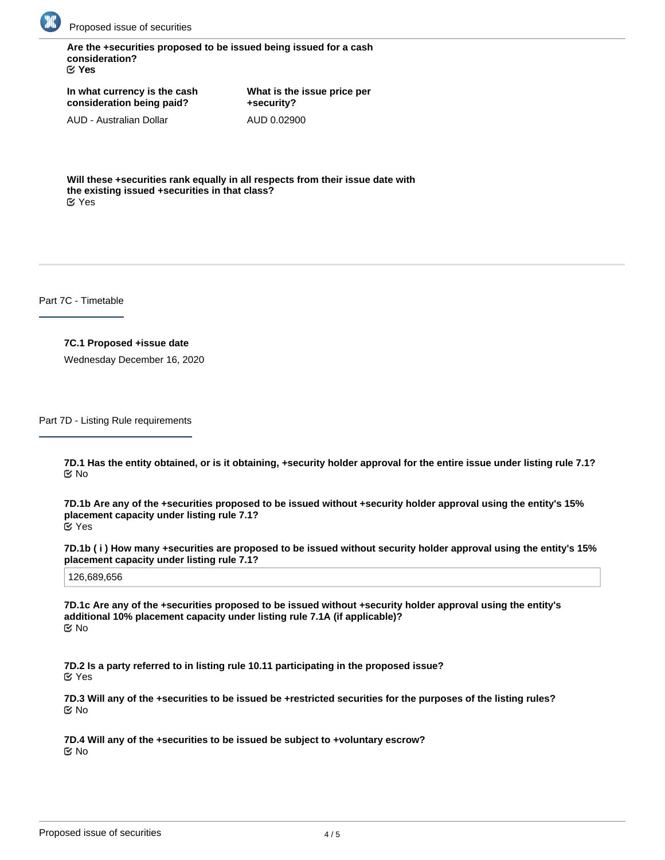

**Are the +securities proposed to be issued being issued for a cash consideration?** Yes

**In what currency is the cash consideration being paid?**

AUD - Australian Dollar

**What is the issue price per +security?** AUD 0.02900

**Will these +securities rank equally in all respects from their issue date with the existing issued +securities in that class?** Yes

Part 7C - Timetable

## **7C.1 Proposed +issue date**

Wednesday December 16, 2020

Part 7D - Listing Rule requirements

**7D.1 Has the entity obtained, or is it obtaining, +security holder approval for the entire issue under listing rule 7.1?** No

**7D.1b Are any of the +securities proposed to be issued without +security holder approval using the entity's 15% placement capacity under listing rule 7.1?** Yes

**7D.1b ( i ) How many +securities are proposed to be issued without security holder approval using the entity's 15% placement capacity under listing rule 7.1?**

126,689,656

**7D.1c Are any of the +securities proposed to be issued without +security holder approval using the entity's additional 10% placement capacity under listing rule 7.1A (if applicable)?** No

**7D.2 Is a party referred to in listing rule 10.11 participating in the proposed issue?** Yes

**7D.3 Will any of the +securities to be issued be +restricted securities for the purposes of the listing rules?** No

**7D.4 Will any of the +securities to be issued be subject to +voluntary escrow?** No